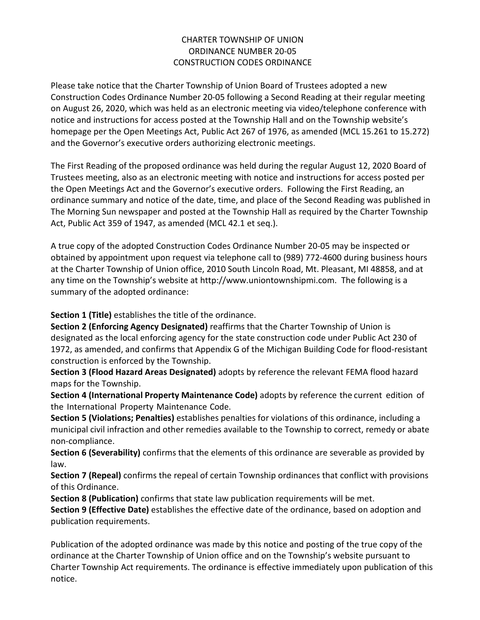# CHARTER TOWNSHIP OF UNION ORDINANCE NUMBER 20-05 CONSTRUCTION CODES ORDINANCE

Please take notice that the Charter Township of Union Board of Trustees adopted a new Construction Codes Ordinance Number 20-05 following a Second Reading at their regular meeting on August 26, 2020, which was held as an electronic meeting via video/telephone conference with notice and instructions for access posted at the Township Hall and on the Township website's homepage per the Open Meetings Act, Public Act 267 of 1976, as amended (MCL 15.261 to 15.272) and the Governor's executive orders authorizing electronic meetings.

The First Reading of the proposed ordinance was held during the regular August 12, 2020 Board of Trustees meeting, also as an electronic meeting with notice and instructions for access posted per the Open Meetings Act and the Governor's executive orders. Following the First Reading, an ordinance summary and notice of the date, time, and place of the Second Reading was published in The Morning Sun newspaper and posted at the Township Hall as required by the Charter Township Act, Public Act 359 of 1947, as amended (MCL 42.1 et seq.).

A true copy of the adopted Construction Codes Ordinance Number 20-05 may be inspected or obtained by appointment upon request via telephone call to (989) 772-4600 during business hours at the Charter Township of Union office, 2010 South Lincoln Road, Mt. Pleasant, MI 48858, and at any time on the Township's website at [http://www.uniontownshipmi.com.](http://www.uniontownshipmi.com/) The following is a summary of the adopted ordinance:

**Section 1 (Title)** establishes the title of the ordinance.

**Section 2 (Enforcing Agency Designated)** reaffirms that the Charter Township of Union is designated as the local enforcing agency for the state construction code under Public Act 230 of 1972, as amended, and confirms that Appendix G of the Michigan Building Code for flood-resistant construction is enforced by the Township.

**Section 3 (Flood Hazard Areas Designated)** adopts by reference the relevant FEMA flood hazard maps for the Township.

**Section 4 (International Property Maintenance Code)** adopts by reference the current edition of the International Property Maintenance Code.

**Section 5 (Violations; Penalties)** establishes penalties for violations of this ordinance, including a municipal civil infraction and other remedies available to the Township to correct, remedy or abate non-compliance.

**Section 6 (Severability)** confirms that the elements of this ordinance are severable as provided by law.

**Section 7 (Repeal)** confirms the repeal of certain Township ordinances that conflict with provisions of this Ordinance.

**Section 8 (Publication)** confirms that state law publication requirements will be met.

**Section 9 (Effective Date)** establishes the effective date of the ordinance, based on adoption and publication requirements.

Publication of the adopted ordinance was made by this notice and posting of the true copy of the ordinance at the Charter Township of Union office and on the Township's website pursuant to Charter Township Act requirements. The ordinance is effective immediately upon publication of this notice.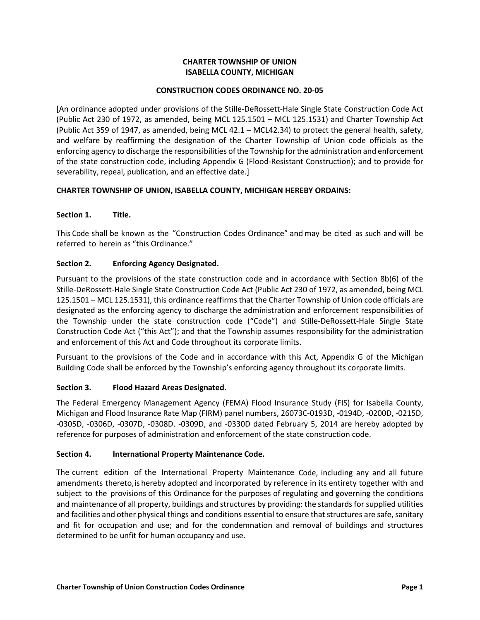# **CHARTER TOWNSHIP OF UNION ISABELLA COUNTY, MICHIGAN**

#### **CONSTRUCTION CODES ORDINANCE NO. 20-05**

[An ordinance adopted under provisions of the Stille-DeRossett-Hale Single State Construction Code Act (Public Act 230 of 1972, as amended, being MCL 125.1501 – MCL 125.1531) and Charter Township Act (Public Act 359 of 1947, as amended, being MCL 42.1 – MCL42.34) to protect the general health, safety, and welfare by reaffirming the designation of the Charter Township of Union code officials as the enforcing agency to discharge the responsibilities of the Township for the administration and enforcement of the state construction code, including Appendix G (Flood-Resistant Construction); and to provide for severability, repeal, publication, and an effective date.]

#### **CHARTER TOWNSHIP OF UNION, ISABELLA COUNTY, MICHIGAN HEREBY ORDAINS:**

#### **Section 1. Title.**

This Code shall be known as the "Construction Codes Ordinance" and may be cited as such and will be referred to herein as "this Ordinance."

# **Section 2. Enforcing Agency Designated.**

Pursuant to the provisions of the state construction code and in accordance with Section 8b(6) of the Stille-DeRossett-Hale Single State Construction Code Act (Public Act 230 of 1972, as amended, being MCL 125.1501 – MCL 125.1531), this ordinance reaffirms that the Charter Township of Union code officials are designated as the enforcing agency to discharge the administration and enforcement responsibilities of the Township under the state construction code ("Code") and Stille-DeRossett-Hale Single State Construction Code Act ("this Act"); and that the Township assumes responsibility for the administration and enforcement of this Act and Code throughout its corporate limits.

Pursuant to the provisions of the Code and in accordance with this Act, Appendix G of the Michigan Building Code shall be enforced by the Township's enforcing agency throughout its corporate limits.

#### **Section 3. Flood Hazard Areas Designated.**

The Federal Emergency Management Agency (FEMA) Flood Insurance Study (FIS) for Isabella County, Michigan and Flood Insurance Rate Map (FIRM) panel numbers, 26073C-0193D, -0194D, -0200D, -0215D, -0305D, -0306D, -0307D, -0308D. -0309D, and -0330D dated February 5, 2014 are hereby adopted by reference for purposes of administration and enforcement of the state construction code.

#### **Section 4. International Property Maintenance Code.**

The current edition of the International Property Maintenance Code, including any and all future amendments thereto, is hereby adopted and incorporated by reference in its entirety together with and subject to the provisions of this Ordinance for the purposes of regulating and governing the conditions and maintenance of all property, buildings and structures by providing: the standards for supplied utilities and facilities and other physical things and conditions essential to ensure that structures are safe, sanitary and fit for occupation and use; and for the condemnation and removal of buildings and structures determined to be unfit for human occupancy and use.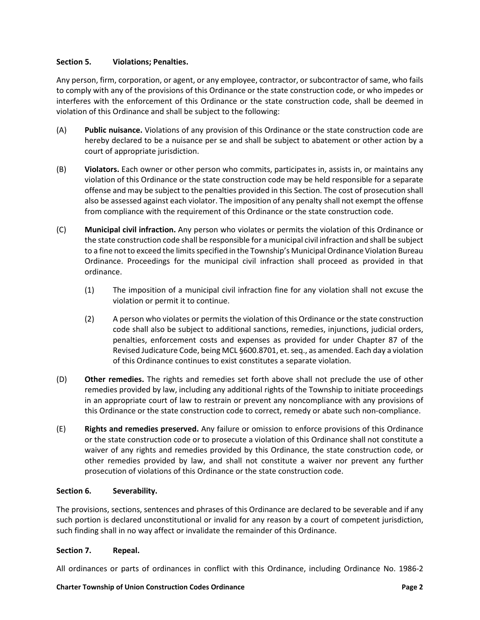# **Section 5. Violations; Penalties.**

Any person, firm, corporation, or agent, or any employee, contractor, or subcontractor of same, who fails to comply with any of the provisions of this Ordinance or the state construction code, or who impedes or interferes with the enforcement of this Ordinance or the state construction code, shall be deemed in violation of this Ordinance and shall be subject to the following:

- (A) **Public nuisance.** Violations of any provision of this Ordinance or the state construction code are hereby declared to be a nuisance per se and shall be subject to abatement or other action by a court of appropriate jurisdiction.
- (B) **Violators.** Each owner or other person who commits, participates in, assists in, or maintains any violation of this Ordinance or the state construction code may be held responsible for a separate offense and may be subject to the penalties provided in this Section. The cost of prosecution shall also be assessed against each violator. The imposition of any penalty shall not exempt the offense from compliance with the requirement of this Ordinance or the state construction code.
- (C) **Municipal civil infraction.** Any person who violates or permits the violation of this Ordinance or the state construction code shall be responsible for a municipal civil infraction and shall be subject to a fine not to exceed the limits specified in the Township's Municipal Ordinance Violation Bureau Ordinance. Proceedings for the municipal civil infraction shall proceed as provided in that ordinance.
	- (1) The imposition of a municipal civil infraction fine for any violation shall not excuse the violation or permit it to continue.
	- (2) A person who violates or permits the violation of this Ordinance or the state construction code shall also be subject to additional sanctions, remedies, injunctions, judicial orders, penalties, enforcement costs and expenses as provided for under Chapter 87 of the Revised Judicature Code, being MCL §600.8701, et. seq., as amended. Each day a violation of this Ordinance continues to exist constitutes a separate violation.
- (D) **Other remedies.** The rights and remedies set forth above shall not preclude the use of other remedies provided by law, including any additional rights of the Township to initiate proceedings in an appropriate court of law to restrain or prevent any noncompliance with any provisions of this Ordinance or the state construction code to correct, remedy or abate such non-compliance.
- (E) **Rights and remedies preserved.** Any failure or omission to enforce provisions of this Ordinance or the state construction code or to prosecute a violation of this Ordinance shall not constitute a waiver of any rights and remedies provided by this Ordinance, the state construction code, or other remedies provided by law, and shall not constitute a waiver nor prevent any further prosecution of violations of this Ordinance or the state construction code.

# **Section 6. Severability.**

The provisions, sections, sentences and phrases of this Ordinance are declared to be severable and if any such portion is declared unconstitutional or invalid for any reason by a court of competent jurisdiction, such finding shall in no way affect or invalidate the remainder of this Ordinance.

#### **Section 7. Repeal.**

All ordinances or parts of ordinances in conflict with this Ordinance, including Ordinance No. 1986-2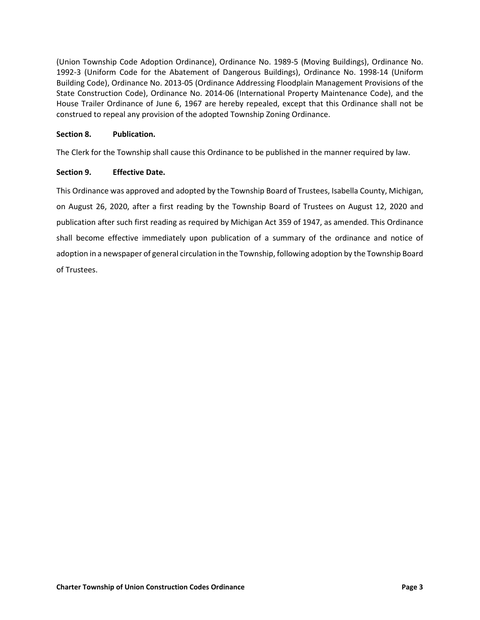(Union Township Code Adoption Ordinance), Ordinance No. 1989-5 (Moving Buildings), Ordinance No. 1992-3 (Uniform Code for the Abatement of Dangerous Buildings), Ordinance No. 1998-14 (Uniform Building Code), Ordinance No. 2013-05 (Ordinance Addressing Floodplain Management Provisions of the State Construction Code), Ordinance No. 2014-06 (International Property Maintenance Code), and the House Trailer Ordinance of June 6, 1967 are hereby repealed, except that this Ordinance shall not be construed to repeal any provision of the adopted Township Zoning Ordinance.

## **Section 8. Publication.**

The Clerk for the Township shall cause this Ordinance to be published in the manner required by law.

# **Section 9. Effective Date.**

This Ordinance was approved and adopted by the Township Board of Trustees, Isabella County, Michigan, on August 26, 2020, after a first reading by the Township Board of Trustees on August 12, 2020 and publication after such first reading as required by Michigan Act 359 of 1947, as amended. This Ordinance shall become effective immediately upon publication of a summary of the ordinance and notice of adoption in a newspaper of general circulation in the Township, following adoption by the Township Board of Trustees.